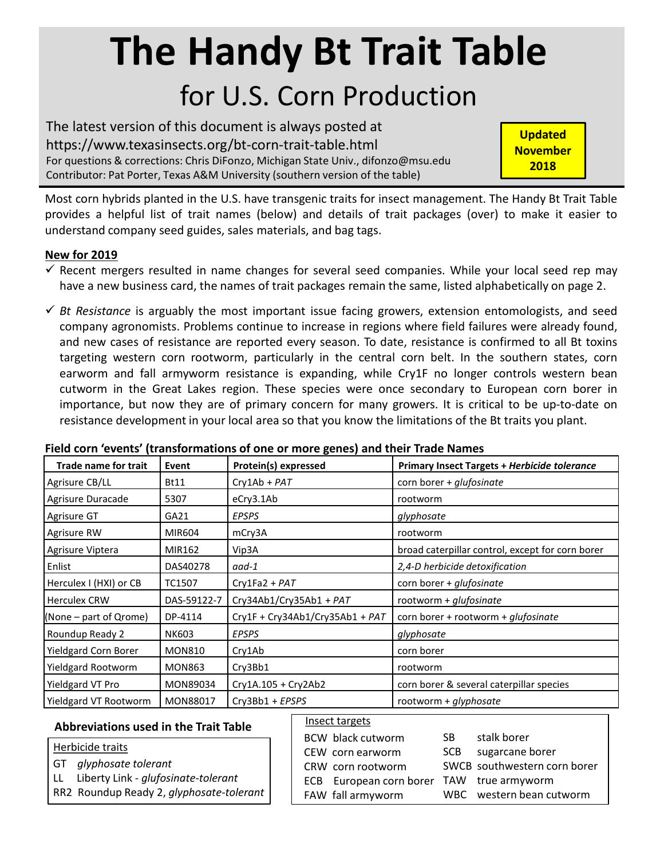# **The Handy Bt Trait Table** for U.S. Corn Production

The latest version of this document is always posted at https://www.texasinsects.org/bt-corn-trait-table.html For questions & corrections: Chris DiFonzo, Michigan State Univ., difonzo@msu.edu Contributor: Pat Porter, Texas A&M University (southern version of the table)

**Updated November 2018**

Most corn hybrids planted in the U.S. have transgenic traits for insect management. The Handy Bt Trait Table provides a helpful list of trait names (below) and details of trait packages (over) to make it easier to understand company seed guides, sales materials, and bag tags.

## **New for 2019**

- $\checkmark$  Recent mergers resulted in name changes for several seed companies. While your local seed rep may have a new business card, the names of trait packages remain the same, listed alphabetically on page 2.
- $\checkmark$  *Bt Resistance* is arguably the most important issue facing growers, extension entomologists, and seed company agronomists. Problems continue to increase in regions where field failures were already found, and new cases of resistance are reported every season. To date, resistance is confirmed to all Bt toxins targeting western corn rootworm, particularly in the central corn belt. In the southern states, corn earworm and fall armyworm resistance is expanding, while Cry1F no longer controls western bean cutworm in the Great Lakes region. These species were once secondary to European corn borer in importance, but now they are of primary concern for many growers. It is critical to be up-to-date on resistance development in your local area so that you know the limitations of the Bt traits you plant.

| <b>Trade name for trait</b> | Event         | <b>Protein(s) expressed</b>     | <b>Primary Insect Targets + Herbicide tolerance</b> |  |  |  |  |
|-----------------------------|---------------|---------------------------------|-----------------------------------------------------|--|--|--|--|
| Agrisure CB/LL              | <b>Bt11</b>   | $Cry1Ab + PAT$                  | corn borer + glufosinate                            |  |  |  |  |
| Agrisure Duracade           | 5307          | eCry3.1Ab                       | rootworm                                            |  |  |  |  |
| Agrisure GT                 | GA21          | EPSPS                           | glyphosate                                          |  |  |  |  |
| Agrisure RW                 | MIR604        | mCry3A                          | rootworm                                            |  |  |  |  |
| Agrisure Viptera            | MIR162        | Vip3A                           | broad caterpillar control, except for corn borer    |  |  |  |  |
| Enlist                      | DAS40278      | aad-1                           | 2,4-D herbicide detoxification                      |  |  |  |  |
| Herculex I (HXI) or CB      | TC1507        | $Cry1Fa2 + PAT$                 | corn borer + glufosinate                            |  |  |  |  |
| <b>Herculex CRW</b>         | DAS-59122-7   | Cry34Ab1/Cry35Ab1 + PAT         | rootworm + $glu f$ osinate                          |  |  |  |  |
| $(None - part of Qrome)$    | DP-4114       | Cry1F + Cry34Ab1/Cry35Ab1 + PAT | corn borer + rootworm + <i>glufosinate</i>          |  |  |  |  |
| Roundup Ready 2             | NK603         | <b>EPSPS</b>                    | glyphosate                                          |  |  |  |  |
| <b>Yieldgard Corn Borer</b> | <b>MON810</b> | Cry1Ab                          | corn borer                                          |  |  |  |  |
| Yieldgard Rootworm          | <b>MON863</b> | Cry3Bb1                         | rootworm                                            |  |  |  |  |
| Yieldgard VT Pro            | MON89034      | Cry1A.105 + Cry2Ab2             | corn borer & several caterpillar species            |  |  |  |  |
| Yieldgard VT Rootworm       | MON88017      | Cry3Bb1 + EPSPS                 | rootworm + glyphosate                               |  |  |  |  |

### **Field corn 'events' (transformations of one or more genes) and their Trade Names**

### **Abbreviations used in the Trait Table**

|  |  | Herbicide traits |  |  |
|--|--|------------------|--|--|
|  |  |                  |  |  |

- GT *glyphosate tolerant*
- LL Liberty Link *glufosinate-tolerant*
- RR2 Roundup Ready 2, *glyphosate-tolerant*

#### Insect targets

| BCW black cutworm                         | SB. | stalk borer                  |
|-------------------------------------------|-----|------------------------------|
| CEW corn earworm                          |     | SCB sugarcane borer          |
| CRW corn rootworm                         |     | SWCB southwestern corn borer |
| ECB European corn borer TAW true armyworm |     |                              |
| FAW fall armyworm                         |     | WBC western bean cutworm     |